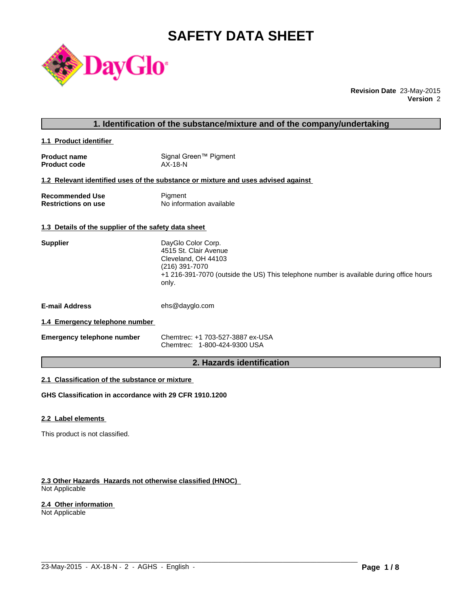# **SAFETY DATA SHEET**



**Revision Date** 23-May-2015 **Version** 2

# **1. Identification of the substance/mixture and of the company/undertaking**

**1.1 Product identifier** 

| <b>Product name</b> | Signal Green™ Pigment |
|---------------------|-----------------------|
| <b>Product code</b> | $AX-18-N$             |

#### **1.2 Relevant identified uses of the substance or mixture and uses advised against**

| <b>Recommended Use</b>     | Pigment                  |
|----------------------------|--------------------------|
| <b>Restrictions on use</b> | No information available |

# **1.3 Details of the supplier of the safety data sheet**

| <b>Supplier</b>                | DayGlo Color Corp.<br>4515 St. Clair Avenue<br>Cleveland, OH 44103<br>(216) 391-7070<br>+1 216-391-7070 (outside the US) This telephone number is available during office hours<br>only. |
|--------------------------------|------------------------------------------------------------------------------------------------------------------------------------------------------------------------------------------|
| <b>E-mail Address</b>          | ehs@dayglo.com                                                                                                                                                                           |
| 1.4 Emergency telephone number |                                                                                                                                                                                          |

**Emergency telephone number** Chemtrec: +1 703-527-3887 ex-USA Chemtrec: 1-800-424-9300 USA

# **2. Hazards identification**

 $\_$  ,  $\_$  ,  $\_$  ,  $\_$  ,  $\_$  ,  $\_$  ,  $\_$  ,  $\_$  ,  $\_$  ,  $\_$  ,  $\_$  ,  $\_$  ,  $\_$  ,  $\_$  ,  $\_$  ,  $\_$  ,  $\_$  ,  $\_$  ,  $\_$  ,  $\_$  ,  $\_$  ,  $\_$  ,  $\_$  ,  $\_$  ,  $\_$  ,  $\_$  ,  $\_$  ,  $\_$  ,  $\_$  ,  $\_$  ,  $\_$  ,  $\_$  ,  $\_$  ,  $\_$  ,  $\_$  ,  $\_$  ,  $\_$  ,

# **2.1 Classification of the substance or mixture**

**GHS Classification in accordance with 29 CFR 1910.1200**

#### **2.2 Label elements**

This product is not classified.

#### **2.3 Other Hazards Hazards not otherwise classified (HNOC)**  Not Applicable

### **2.4 Other information**

Not Applicable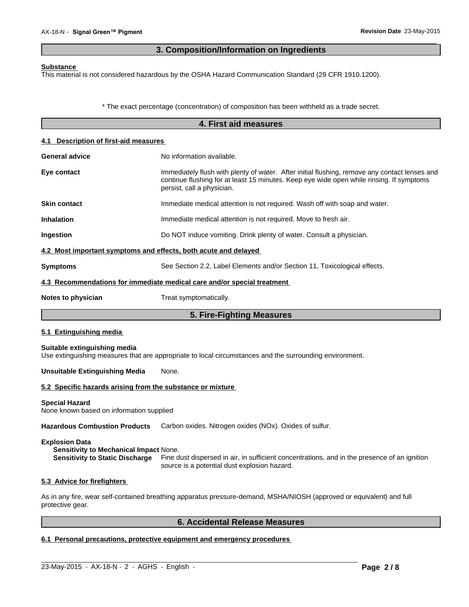# **3. Composition/Information on Ingredients**

 $\overline{\phantom{a}}$  ,  $\overline{\phantom{a}}$  ,  $\overline{\phantom{a}}$  ,  $\overline{\phantom{a}}$  ,  $\overline{\phantom{a}}$  ,  $\overline{\phantom{a}}$  ,  $\overline{\phantom{a}}$  ,  $\overline{\phantom{a}}$  ,  $\overline{\phantom{a}}$  ,  $\overline{\phantom{a}}$  ,  $\overline{\phantom{a}}$  ,  $\overline{\phantom{a}}$  ,  $\overline{\phantom{a}}$  ,  $\overline{\phantom{a}}$  ,  $\overline{\phantom{a}}$  ,  $\overline{\phantom{a}}$ 

#### **Substance**

This material is not considered hazardous by the OSHA Hazard Communication Standard (29 CFR 1910.1200).

\* The exact percentage (concentration) of composition has been withheld as a trade secret.

|                                                                   | 4. First aid measures                                                                                                                                                                                                   |  |  |  |  |
|-------------------------------------------------------------------|-------------------------------------------------------------------------------------------------------------------------------------------------------------------------------------------------------------------------|--|--|--|--|
| 4.1 Description of first-aid measures                             |                                                                                                                                                                                                                         |  |  |  |  |
| <b>General advice</b>                                             | No information available.                                                                                                                                                                                               |  |  |  |  |
| Eye contact                                                       | Immediately flush with plenty of water. After initial flushing, remove any contact lenses and<br>continue flushing for at least 15 minutes. Keep eye wide open while rinsing. If symptoms<br>persist, call a physician. |  |  |  |  |
| <b>Skin contact</b>                                               | Immediate medical attention is not required. Wash off with soap and water.                                                                                                                                              |  |  |  |  |
| <b>Inhalation</b>                                                 | Immediate medical attention is not required. Move to fresh air.                                                                                                                                                         |  |  |  |  |
| Ingestion                                                         | Do NOT induce vomiting. Drink plenty of water. Consult a physician.                                                                                                                                                     |  |  |  |  |
| 4.2 Most important symptoms and effects, both acute and delayed   |                                                                                                                                                                                                                         |  |  |  |  |
| <b>Symptoms</b>                                                   | See Section 2.2, Label Elements and/or Section 11, Toxicological effects.                                                                                                                                               |  |  |  |  |
|                                                                   | 4.3 Recommendations for immediate medical care and/or special treatment                                                                                                                                                 |  |  |  |  |
| Notes to physician                                                | Treat symptomatically.                                                                                                                                                                                                  |  |  |  |  |
|                                                                   | 5. Fire-Fighting Measures                                                                                                                                                                                               |  |  |  |  |
| 5.1 Extinguishing media                                           |                                                                                                                                                                                                                         |  |  |  |  |
| Suitable extinguishing media                                      | Use extinguishing measures that are appropriate to local circumstances and the surrounding environment.                                                                                                                 |  |  |  |  |
| <b>Unsuitable Extinguishing Media</b>                             | None.                                                                                                                                                                                                                   |  |  |  |  |
| 5.2 Specific hazards arising from the substance or mixture        |                                                                                                                                                                                                                         |  |  |  |  |
| <b>Special Hazard</b><br>None known based on information supplied |                                                                                                                                                                                                                         |  |  |  |  |
| <b>Hazardous Combustion Products</b>                              | Carbon oxides. Nitrogen oxides (NOx). Oxides of sulfur.                                                                                                                                                                 |  |  |  |  |

### **Explosion Data**

**Sensitivity to Mechanical Impact** None. **Sensitivity to Static Discharge** Fine dust dispersed in air, in sufficient concentrations, and in the presence of an ignition source is a potential dust explosion hazard.

#### **5.3 Advice for firefighters**

As in any fire, wear self-contained breathing apparatus pressure-demand, MSHA/NIOSH (approved or equivalent) and full protective gear.

 $\_$  ,  $\_$  ,  $\_$  ,  $\_$  ,  $\_$  ,  $\_$  ,  $\_$  ,  $\_$  ,  $\_$  ,  $\_$  ,  $\_$  ,  $\_$  ,  $\_$  ,  $\_$  ,  $\_$  ,  $\_$  ,  $\_$  ,  $\_$  ,  $\_$  ,  $\_$  ,  $\_$  ,  $\_$  ,  $\_$  ,  $\_$  ,  $\_$  ,  $\_$  ,  $\_$  ,  $\_$  ,  $\_$  ,  $\_$  ,  $\_$  ,  $\_$  ,  $\_$  ,  $\_$  ,  $\_$  ,  $\_$  ,  $\_$  ,

# **6. Accidental Release Measures**

# **6.1 Personal precautions, protective equipment and emergency procedures**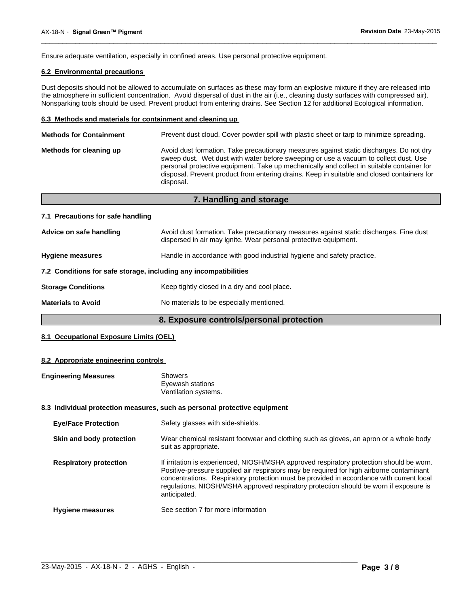Ensure adequate ventilation, especially in confined areas. Use personal protective equipment.

# **6.2 Environmental precautions**

Dust deposits should not be allowed to accumulate on surfaces as these may form an explosive mixture if they are released into the atmosphere in sufficient concentration. Avoid dispersal of dust in the air (i.e., cleaning dusty surfaces with compressed air). Nonsparking tools should be used. Prevent product from entering drains. See Section 12 for additional Ecological information.

 $\overline{\phantom{a}}$  ,  $\overline{\phantom{a}}$  ,  $\overline{\phantom{a}}$  ,  $\overline{\phantom{a}}$  ,  $\overline{\phantom{a}}$  ,  $\overline{\phantom{a}}$  ,  $\overline{\phantom{a}}$  ,  $\overline{\phantom{a}}$  ,  $\overline{\phantom{a}}$  ,  $\overline{\phantom{a}}$  ,  $\overline{\phantom{a}}$  ,  $\overline{\phantom{a}}$  ,  $\overline{\phantom{a}}$  ,  $\overline{\phantom{a}}$  ,  $\overline{\phantom{a}}$  ,  $\overline{\phantom{a}}$ 

#### **6.3 Methods and materials for containment and cleaning up**

| <b>Methods for Containment</b> | Prevent dust cloud. Cover powder spill with plastic sheet or tarp to minimize spreading.                                                                                                                                                                                                                                                                                                |  |  |  |  |
|--------------------------------|-----------------------------------------------------------------------------------------------------------------------------------------------------------------------------------------------------------------------------------------------------------------------------------------------------------------------------------------------------------------------------------------|--|--|--|--|
| Methods for cleaning up        | Avoid dust formation. Take precautionary measures against static discharges. Do not dry<br>sweep dust. Wet dust with water before sweeping or use a vacuum to collect dust. Use<br>personal protective equipment. Take up mechanically and collect in suitable container for<br>disposal. Prevent product from entering drains. Keep in suitable and closed containers for<br>disposal. |  |  |  |  |
|                                |                                                                                                                                                                                                                                                                                                                                                                                         |  |  |  |  |

|                                                                  | 7. Handling and storage                                                                                                                                    |
|------------------------------------------------------------------|------------------------------------------------------------------------------------------------------------------------------------------------------------|
| 7.1 Precautions for safe handling                                |                                                                                                                                                            |
| Advice on safe handling                                          | Avoid dust formation. Take precautionary measures against static discharges. Fine dust<br>dispersed in air may ignite. Wear personal protective equipment. |
| <b>Hygiene measures</b>                                          | Handle in accordance with good industrial hygiene and safety practice.                                                                                     |
| 7.2 Conditions for safe storage, including any incompatibilities |                                                                                                                                                            |
| <b>Storage Conditions</b>                                        | Keep tightly closed in a dry and cool place.                                                                                                               |
| <b>Materials to Avoid</b>                                        | No materials to be especially mentioned.                                                                                                                   |

# **8. Exposure controls/personal protection**

# **8.1 Occupational Exposure Limits (OEL)**

#### **8.2 Appropriate engineering controls**

| <b>Engineering Measures</b>   | <b>Showers</b><br>Eyewash stations<br>Ventilation systems.                                                                                                                                                                                                                                                                                                                                |
|-------------------------------|-------------------------------------------------------------------------------------------------------------------------------------------------------------------------------------------------------------------------------------------------------------------------------------------------------------------------------------------------------------------------------------------|
|                               | 8.3 Individual protection measures, such as personal protective equipment                                                                                                                                                                                                                                                                                                                 |
| <b>Eye/Face Protection</b>    | Safety glasses with side-shields.                                                                                                                                                                                                                                                                                                                                                         |
| Skin and body protection      | Wear chemical resistant footwear and clothing such as gloves, an apron or a whole body<br>suit as appropriate.                                                                                                                                                                                                                                                                            |
| <b>Respiratory protection</b> | If irritation is experienced, NIOSH/MSHA approved respiratory protection should be worn.<br>Positive-pressure supplied air respirators may be required for high airborne contaminant<br>concentrations. Respiratory protection must be provided in accordance with current local<br>regulations. NIOSH/MSHA approved respiratory protection should be worn if exposure is<br>anticipated. |
| <b>Hygiene measures</b>       | See section 7 for more information                                                                                                                                                                                                                                                                                                                                                        |

 $\_$  ,  $\_$  ,  $\_$  ,  $\_$  ,  $\_$  ,  $\_$  ,  $\_$  ,  $\_$  ,  $\_$  ,  $\_$  ,  $\_$  ,  $\_$  ,  $\_$  ,  $\_$  ,  $\_$  ,  $\_$  ,  $\_$  ,  $\_$  ,  $\_$  ,  $\_$  ,  $\_$  ,  $\_$  ,  $\_$  ,  $\_$  ,  $\_$  ,  $\_$  ,  $\_$  ,  $\_$  ,  $\_$  ,  $\_$  ,  $\_$  ,  $\_$  ,  $\_$  ,  $\_$  ,  $\_$  ,  $\_$  ,  $\_$  ,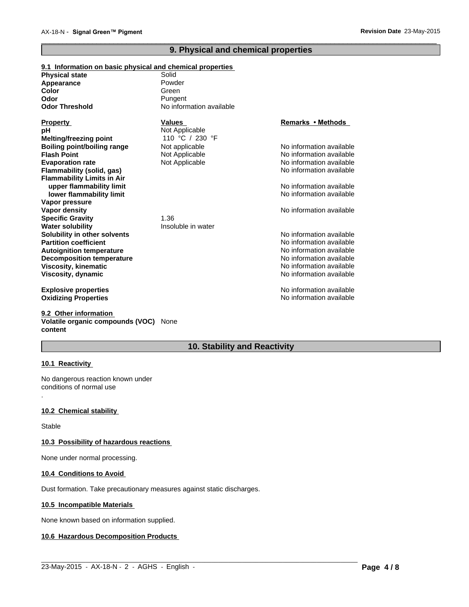# **9. Physical and chemical properties**

 $\overline{\phantom{a}}$  ,  $\overline{\phantom{a}}$  ,  $\overline{\phantom{a}}$  ,  $\overline{\phantom{a}}$  ,  $\overline{\phantom{a}}$  ,  $\overline{\phantom{a}}$  ,  $\overline{\phantom{a}}$  ,  $\overline{\phantom{a}}$  ,  $\overline{\phantom{a}}$  ,  $\overline{\phantom{a}}$  ,  $\overline{\phantom{a}}$  ,  $\overline{\phantom{a}}$  ,  $\overline{\phantom{a}}$  ,  $\overline{\phantom{a}}$  ,  $\overline{\phantom{a}}$  ,  $\overline{\phantom{a}}$ 

| 9.1 Information on basic physical and chemical properties |                          |                          |
|-----------------------------------------------------------|--------------------------|--------------------------|
| <b>Physical state</b>                                     | Solid                    |                          |
| Appearance                                                | Powder                   |                          |
| Color                                                     | Green                    |                          |
| Odor                                                      | Pungent                  |                          |
| <b>Odor Threshold</b>                                     | No information available |                          |
| <b>Property</b>                                           | <b>Values</b>            | <b>Remarks • Methods</b> |
| рH                                                        | Not Applicable           |                          |
| Melting/freezing point                                    | 110 °C / 230 °F          |                          |
| <b>Boiling point/boiling range</b>                        | Not applicable           | No information available |
| <b>Flash Point</b>                                        | Not Applicable           | No information available |
| <b>Evaporation rate</b>                                   | Not Applicable           | No information available |
| <b>Flammability (solid, gas)</b>                          |                          | No information available |
| <b>Flammability Limits in Air</b>                         |                          |                          |
| upper flammability limit                                  |                          | No information available |
| lower flammability limit                                  |                          | No information available |
| Vapor pressure                                            |                          |                          |
| Vapor density                                             |                          | No information available |
| <b>Specific Gravity</b>                                   | 1.36                     |                          |
| <b>Water solubility</b>                                   | Insoluble in water       |                          |
| Solubility in other solvents                              |                          | No information available |
| <b>Partition coefficient</b>                              |                          | No information available |
| <b>Autoignition temperature</b>                           |                          | No information available |
| <b>Decomposition temperature</b>                          |                          | No information available |
| <b>Viscosity, kinematic</b>                               |                          | No information available |
| Viscosity, dynamic                                        |                          | No information available |
| <b>Explosive properties</b>                               |                          | No information available |
| <b>Oxidizing Properties</b>                               |                          | No information available |

**9.2 Other information Volatile organic compounds (VOC)** None **content**

# **10. Stability and Reactivity**

 $\_$  ,  $\_$  ,  $\_$  ,  $\_$  ,  $\_$  ,  $\_$  ,  $\_$  ,  $\_$  ,  $\_$  ,  $\_$  ,  $\_$  ,  $\_$  ,  $\_$  ,  $\_$  ,  $\_$  ,  $\_$  ,  $\_$  ,  $\_$  ,  $\_$  ,  $\_$  ,  $\_$  ,  $\_$  ,  $\_$  ,  $\_$  ,  $\_$  ,  $\_$  ,  $\_$  ,  $\_$  ,  $\_$  ,  $\_$  ,  $\_$  ,  $\_$  ,  $\_$  ,  $\_$  ,  $\_$  ,  $\_$  ,  $\_$  ,

# **10.1 Reactivity**

.

No dangerous reaction known under conditions of normal use

# **10.2 Chemical stability**

Stable

# **10.3 Possibility of hazardous reactions**

None under normal processing.

#### **10.4 Conditions to Avoid**

Dust formation. Take precautionary measures against static discharges.

# **10.5 Incompatible Materials**

None known based on information supplied.

# **10.6 Hazardous Decomposition Products**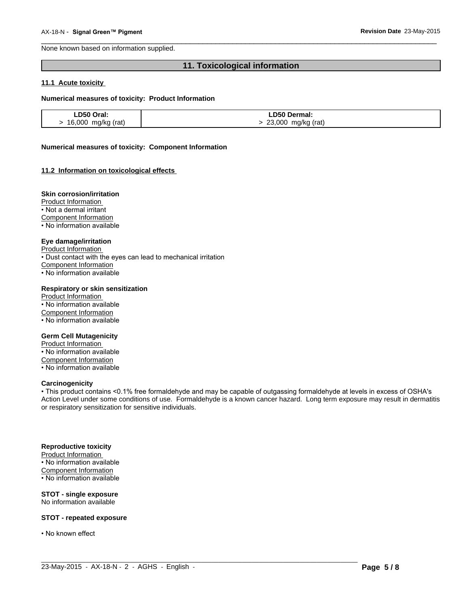None known based on information supplied.

# **11. Toxicological information**

 $\overline{\phantom{a}}$  ,  $\overline{\phantom{a}}$  ,  $\overline{\phantom{a}}$  ,  $\overline{\phantom{a}}$  ,  $\overline{\phantom{a}}$  ,  $\overline{\phantom{a}}$  ,  $\overline{\phantom{a}}$  ,  $\overline{\phantom{a}}$  ,  $\overline{\phantom{a}}$  ,  $\overline{\phantom{a}}$  ,  $\overline{\phantom{a}}$  ,  $\overline{\phantom{a}}$  ,  $\overline{\phantom{a}}$  ,  $\overline{\phantom{a}}$  ,  $\overline{\phantom{a}}$  ,  $\overline{\phantom{a}}$ 

#### **11.1 Acute toxicity**

#### **Numerical measures of toxicity: Product Information**

| LD50 Oral:         | <b>LD50 Dermal:</b> |
|--------------------|---------------------|
| 16,000 mg/kg (rat) | 23,000 mg/kg (rat)  |

#### **Numerical measures of toxicity: Component Information**

#### **11.2 Information on toxicological effects**

### **Skin corrosion/irritation**

Product Information

• Not a dermal irritant

Component Information

• No information available

#### **Eye damage/irritation**

Product Information

• Dust contact with the eyes can lead to mechanical irritation

Component Information

• No information available

#### **Respiratory or skin sensitization**

Product Information • No information available Component Information • No information available

#### **Germ Cell Mutagenicity**

Product Information • No information available Component Information • No information available

#### **Carcinogenicity**

• This product contains <0.1% free formaldehyde and may be capable of outgassing formaldehyde at levels in excess of OSHA's Action Level under some conditions of use. Formaldehyde is a known cancer hazard. Long term exposure may result in dermatitis or respiratory sensitization for sensitive individuals.

 $\_$  ,  $\_$  ,  $\_$  ,  $\_$  ,  $\_$  ,  $\_$  ,  $\_$  ,  $\_$  ,  $\_$  ,  $\_$  ,  $\_$  ,  $\_$  ,  $\_$  ,  $\_$  ,  $\_$  ,  $\_$  ,  $\_$  ,  $\_$  ,  $\_$  ,  $\_$  ,  $\_$  ,  $\_$  ,  $\_$  ,  $\_$  ,  $\_$  ,  $\_$  ,  $\_$  ,  $\_$  ,  $\_$  ,  $\_$  ,  $\_$  ,  $\_$  ,  $\_$  ,  $\_$  ,  $\_$  ,  $\_$  ,  $\_$  ,

#### **Reproductive toxicity**

Product Information • No information available Component Information • No information available

#### **STOT - single exposure** No information available

**STOT - repeated exposure**

• No known effect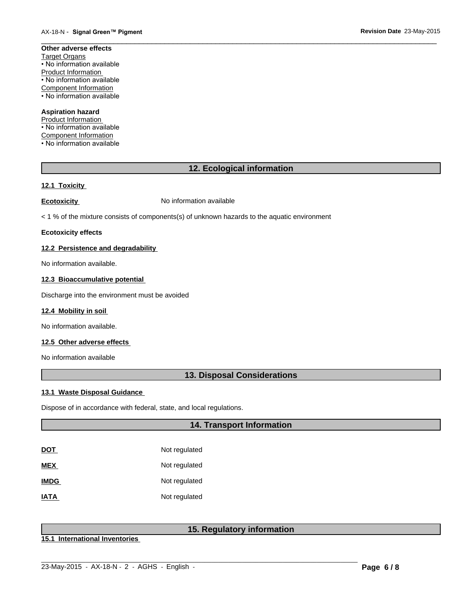#### **Other adverse effects** Target Organs • No information available Product Information • No information available Component Information • No information available

### **Aspiration hazard**

Product Information • No information available Component Information • No information available

# **12. Ecological information**

 $\overline{\phantom{a}}$  ,  $\overline{\phantom{a}}$  ,  $\overline{\phantom{a}}$  ,  $\overline{\phantom{a}}$  ,  $\overline{\phantom{a}}$  ,  $\overline{\phantom{a}}$  ,  $\overline{\phantom{a}}$  ,  $\overline{\phantom{a}}$  ,  $\overline{\phantom{a}}$  ,  $\overline{\phantom{a}}$  ,  $\overline{\phantom{a}}$  ,  $\overline{\phantom{a}}$  ,  $\overline{\phantom{a}}$  ,  $\overline{\phantom{a}}$  ,  $\overline{\phantom{a}}$  ,  $\overline{\phantom{a}}$ 

# **12.1 Toxicity**

**Ecotoxicity No information available** 

< 1 % of the mixture consists of components(s) of unknown hazards to the aquatic environment

#### **Ecotoxicity effects**

### **12.2 Persistence and degradability**

No information available.

# **12.3 Bioaccumulative potential**

Discharge into the environment must be avoided

#### **12.4 Mobility in soil**

No information available.

## **12.5 Other adverse effects**

No information available

# **13. Disposal Considerations**

### **13.1 Waste Disposal Guidance**

Dispose of in accordance with federal, state, and local regulations.

# **14. Transport Information**

| <u>DOT</u>  | Not regulated |
|-------------|---------------|
| MEX         | Not regulated |
| <b>IMDG</b> | Not regulated |
| <b>ATAI</b> | Not regulated |

# **15. Regulatory information**

**15.1 International Inventories**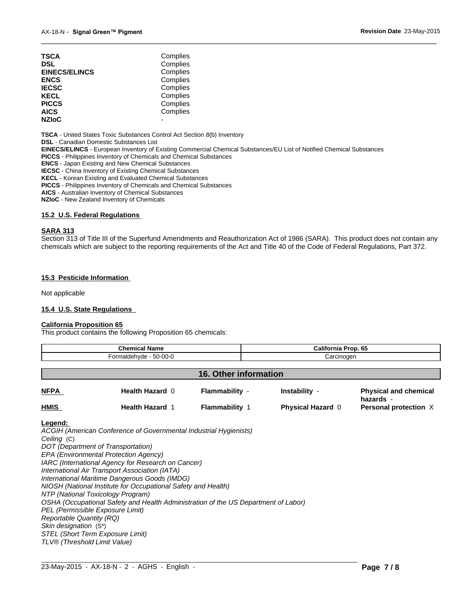| TSCA                 | Complies |  |
|----------------------|----------|--|
| DSL                  | Complies |  |
| <b>EINECS/ELINCS</b> | Complies |  |
| ENCS                 | Complies |  |
| <b>IECSC</b>         | Complies |  |
| KECL                 | Complies |  |
| PICCS                | Complies |  |
| AICS                 | Complies |  |
| <b>NZIoC</b>         |          |  |
|                      |          |  |

**TSCA** - United States Toxic Substances Control Act Section 8(b) Inventory

**DSL** - Canadian Domestic Substances List

**EINECS/ELINCS** - European Inventory of Existing Commercial Chemical Substances/EU List of Notified Chemical Substances

**PICCS** - Philippines Inventory of Chemicals and Chemical Substances

**ENCS** - Japan Existing and New Chemical Substances

**IECSC** - China Inventory of Existing Chemical Substances

**KECL** - Korean Existing and Evaluated Chemical Substances

**PICCS** - Philippines Inventory of Chemicals and Chemical Substances

**AICS** - Australian Inventory of Chemical Substances

**NZIoC** - New Zealand Inventory of Chemicals

#### **15.2 U.S. Federal Regulations**

#### **SARA 313**

Section 313 of Title III of the Superfund Amendments and Reauthorization Act of 1986 (SARA). This product does not contain any chemicals which are subject to the reporting requirements of the Act and Title 40 of the Code of Federal Regulations, Part 372.

 $\overline{\phantom{a}}$  ,  $\overline{\phantom{a}}$  ,  $\overline{\phantom{a}}$  ,  $\overline{\phantom{a}}$  ,  $\overline{\phantom{a}}$  ,  $\overline{\phantom{a}}$  ,  $\overline{\phantom{a}}$  ,  $\overline{\phantom{a}}$  ,  $\overline{\phantom{a}}$  ,  $\overline{\phantom{a}}$  ,  $\overline{\phantom{a}}$  ,  $\overline{\phantom{a}}$  ,  $\overline{\phantom{a}}$  ,  $\overline{\phantom{a}}$  ,  $\overline{\phantom{a}}$  ,  $\overline{\phantom{a}}$ 

#### **15.3 Pesticide Information**

Not applicable

#### **15.4 U.S. State Regulations**

#### **California Proposition 65**

This product contains the following Proposition 65 chemicals:

| <b>Chemical Name</b>   |                        |                       | California Prop. 65      |                                           |
|------------------------|------------------------|-----------------------|--------------------------|-------------------------------------------|
| Formaldehyde - 50-00-0 |                        |                       | Carcinogen               |                                           |
|                        |                        | 16. Other information |                          |                                           |
| <b>NFPA</b>            | Health Hazard 0        | Flammability -        | Instability -            | <b>Physical and chemical</b><br>hazards - |
| <b>HMIS</b>            | <b>Health Hazard 1</b> | <b>Flammability 1</b> | <b>Physical Hazard 0</b> | Personal protection X                     |

#### **Legend:**

*ACGIH (American Conference of Governmental Industrial Hygienists) Ceiling* (C) *DOT (Department of Transportation) EPA (Environmental Protection Agency) IARC (International Agency for Research on Cancer) International Air Transport Association (IATA) International Maritime Dangerous Goods (IMDG) NIOSH (National Institute for Occupational Safety and Health) NTP (National Toxicology Program) OSHA (Occupational Safety and Health Administration of the US Department of Labor) PEL (Permissible Exposure Limit) Reportable Quantity (RQ) Skin designation* (S\*) *STEL (Short Term Exposure Limit) TLV® (Threshold Limit Value)*